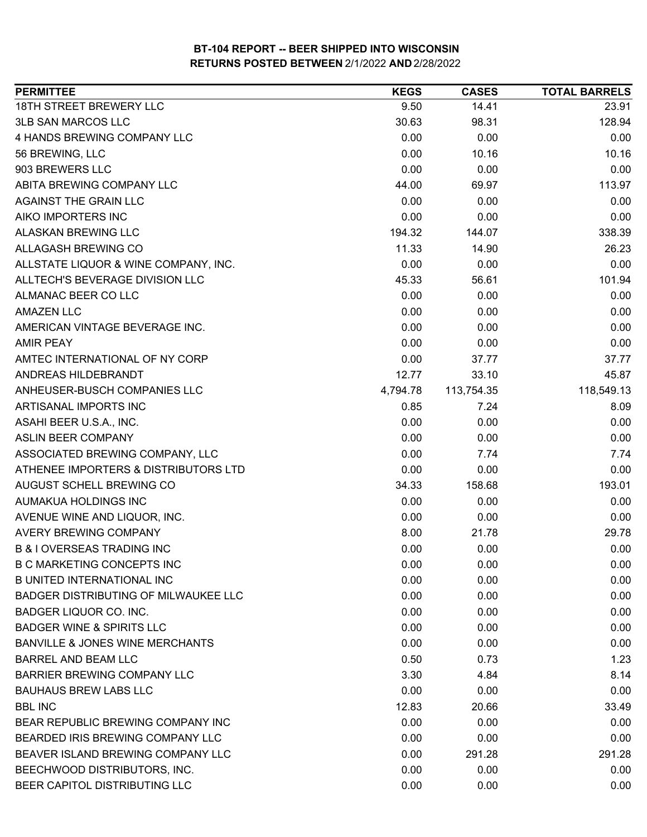| <b>PERMITTEE</b>                            | <b>KEGS</b> | <b>CASES</b> | <b>TOTAL BARRELS</b> |
|---------------------------------------------|-------------|--------------|----------------------|
| 18TH STREET BREWERY LLC                     | 9.50        | 14.41        | 23.91                |
| <b>3LB SAN MARCOS LLC</b>                   | 30.63       | 98.31        | 128.94               |
| 4 HANDS BREWING COMPANY LLC                 | 0.00        | 0.00         | 0.00                 |
| 56 BREWING, LLC                             | 0.00        | 10.16        | 10.16                |
| 903 BREWERS LLC                             | 0.00        | 0.00         | 0.00                 |
| ABITA BREWING COMPANY LLC                   | 44.00       | 69.97        | 113.97               |
| <b>AGAINST THE GRAIN LLC</b>                | 0.00        | 0.00         | 0.00                 |
| AIKO IMPORTERS INC                          | 0.00        | 0.00         | 0.00                 |
| <b>ALASKAN BREWING LLC</b>                  | 194.32      | 144.07       | 338.39               |
| ALLAGASH BREWING CO                         | 11.33       | 14.90        | 26.23                |
| ALLSTATE LIQUOR & WINE COMPANY, INC.        | 0.00        | 0.00         | 0.00                 |
| ALLTECH'S BEVERAGE DIVISION LLC             | 45.33       | 56.61        | 101.94               |
| ALMANAC BEER CO LLC                         | 0.00        | 0.00         | 0.00                 |
| <b>AMAZEN LLC</b>                           | 0.00        | 0.00         | 0.00                 |
| AMERICAN VINTAGE BEVERAGE INC.              | 0.00        | 0.00         | 0.00                 |
| <b>AMIR PEAY</b>                            | 0.00        | 0.00         | 0.00                 |
| AMTEC INTERNATIONAL OF NY CORP              | 0.00        | 37.77        | 37.77                |
| ANDREAS HILDEBRANDT                         | 12.77       | 33.10        | 45.87                |
| ANHEUSER-BUSCH COMPANIES LLC                | 4,794.78    | 113,754.35   | 118,549.13           |
| ARTISANAL IMPORTS INC                       | 0.85        | 7.24         | 8.09                 |
| ASAHI BEER U.S.A., INC.                     | 0.00        | 0.00         | 0.00                 |
| <b>ASLIN BEER COMPANY</b>                   | 0.00        | 0.00         | 0.00                 |
| ASSOCIATED BREWING COMPANY, LLC             | 0.00        | 7.74         | 7.74                 |
| ATHENEE IMPORTERS & DISTRIBUTORS LTD        | 0.00        | 0.00         | 0.00                 |
| AUGUST SCHELL BREWING CO                    | 34.33       | 158.68       | 193.01               |
| AUMAKUA HOLDINGS INC                        | 0.00        | 0.00         | 0.00                 |
| AVENUE WINE AND LIQUOR, INC.                | 0.00        | 0.00         | 0.00                 |
| <b>AVERY BREWING COMPANY</b>                | 8.00        | 21.78        | 29.78                |
| <b>B &amp; I OVERSEAS TRADING INC</b>       | 0.00        | 0.00         | 0.00                 |
| <b>B C MARKETING CONCEPTS INC</b>           | 0.00        | 0.00         | 0.00                 |
| <b>B UNITED INTERNATIONAL INC</b>           | 0.00        | 0.00         | 0.00                 |
| <b>BADGER DISTRIBUTING OF MILWAUKEE LLC</b> | 0.00        | 0.00         | 0.00                 |
| <b>BADGER LIQUOR CO. INC.</b>               | 0.00        | 0.00         | 0.00                 |
| <b>BADGER WINE &amp; SPIRITS LLC</b>        | 0.00        | 0.00         | 0.00                 |
| <b>BANVILLE &amp; JONES WINE MERCHANTS</b>  | 0.00        | 0.00         | 0.00                 |
| <b>BARREL AND BEAM LLC</b>                  | 0.50        | 0.73         | 1.23                 |
| <b>BARRIER BREWING COMPANY LLC</b>          | 3.30        | 4.84         | 8.14                 |
| <b>BAUHAUS BREW LABS LLC</b>                | 0.00        | 0.00         | 0.00                 |
| <b>BBL INC</b>                              | 12.83       | 20.66        | 33.49                |
| BEAR REPUBLIC BREWING COMPANY INC           | 0.00        | 0.00         | 0.00                 |
| BEARDED IRIS BREWING COMPANY LLC            | 0.00        | 0.00         | 0.00                 |
| BEAVER ISLAND BREWING COMPANY LLC           | 0.00        | 291.28       | 291.28               |
| BEECHWOOD DISTRIBUTORS, INC.                | 0.00        | 0.00         | 0.00                 |
| BEER CAPITOL DISTRIBUTING LLC               | 0.00        | 0.00         | 0.00                 |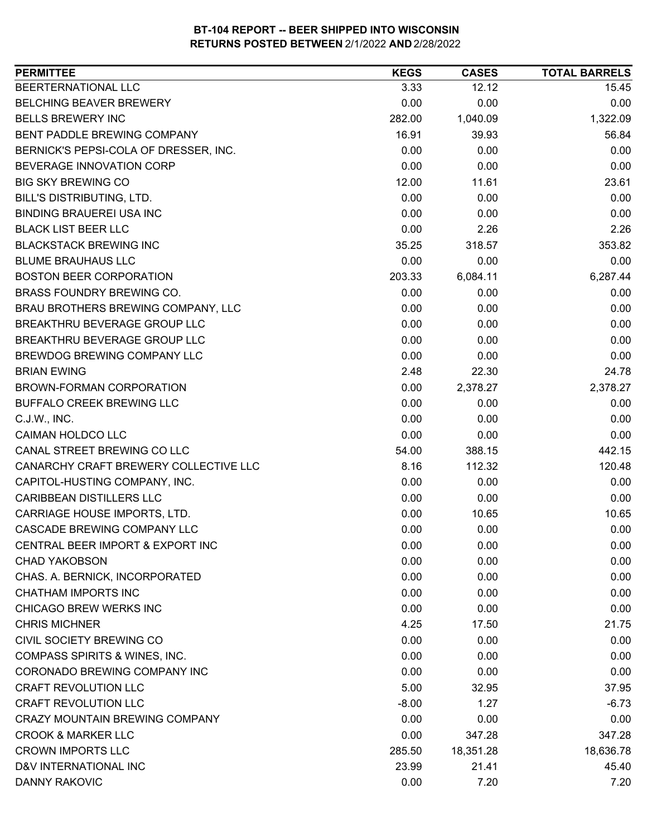| <b>PERMITTEE</b>                      | <b>KEGS</b> | <b>CASES</b> | <b>TOTAL BARRELS</b> |
|---------------------------------------|-------------|--------------|----------------------|
| BEERTERNATIONAL LLC                   | 3.33        | 12.12        | 15.45                |
| <b>BELCHING BEAVER BREWERY</b>        | 0.00        | 0.00         | 0.00                 |
| <b>BELLS BREWERY INC</b>              | 282.00      | 1,040.09     | 1,322.09             |
| BENT PADDLE BREWING COMPANY           | 16.91       | 39.93        | 56.84                |
| BERNICK'S PEPSI-COLA OF DRESSER, INC. | 0.00        | 0.00         | 0.00                 |
| BEVERAGE INNOVATION CORP              | 0.00        | 0.00         | 0.00                 |
| <b>BIG SKY BREWING CO</b>             | 12.00       | 11.61        | 23.61                |
| <b>BILL'S DISTRIBUTING, LTD.</b>      | 0.00        | 0.00         | 0.00                 |
| <b>BINDING BRAUEREI USA INC</b>       | 0.00        | 0.00         | 0.00                 |
| <b>BLACK LIST BEER LLC</b>            | 0.00        | 2.26         | 2.26                 |
| <b>BLACKSTACK BREWING INC</b>         | 35.25       | 318.57       | 353.82               |
| <b>BLUME BRAUHAUS LLC</b>             | 0.00        | 0.00         | 0.00                 |
| <b>BOSTON BEER CORPORATION</b>        | 203.33      | 6,084.11     | 6,287.44             |
| BRASS FOUNDRY BREWING CO.             | 0.00        | 0.00         | 0.00                 |
| BRAU BROTHERS BREWING COMPANY, LLC    | 0.00        | 0.00         | 0.00                 |
| <b>BREAKTHRU BEVERAGE GROUP LLC</b>   | 0.00        | 0.00         | 0.00                 |
| <b>BREAKTHRU BEVERAGE GROUP LLC</b>   | 0.00        | 0.00         | 0.00                 |
| BREWDOG BREWING COMPANY LLC           | 0.00        | 0.00         | 0.00                 |
| <b>BRIAN EWING</b>                    | 2.48        | 22.30        | 24.78                |
| BROWN-FORMAN CORPORATION              | 0.00        | 2,378.27     | 2,378.27             |
| BUFFALO CREEK BREWING LLC             | 0.00        | 0.00         | 0.00                 |
| C.J.W., INC.                          | 0.00        | 0.00         | 0.00                 |
| <b>CAIMAN HOLDCO LLC</b>              | 0.00        | 0.00         | 0.00                 |
| CANAL STREET BREWING CO LLC           | 54.00       | 388.15       | 442.15               |
| CANARCHY CRAFT BREWERY COLLECTIVE LLC | 8.16        | 112.32       | 120.48               |
| CAPITOL-HUSTING COMPANY, INC.         | 0.00        | 0.00         | 0.00                 |
| <b>CARIBBEAN DISTILLERS LLC</b>       | 0.00        | 0.00         | 0.00                 |
| CARRIAGE HOUSE IMPORTS, LTD.          | 0.00        | 10.65        | 10.65                |
| CASCADE BREWING COMPANY LLC           | 0.00        | 0.00         | 0.00                 |
| CENTRAL BEER IMPORT & EXPORT INC      | 0.00        | 0.00         | 0.00                 |
| <b>CHAD YAKOBSON</b>                  | 0.00        | 0.00         | 0.00                 |
| CHAS. A. BERNICK, INCORPORATED        | 0.00        | 0.00         | 0.00                 |
| <b>CHATHAM IMPORTS INC</b>            | 0.00        | 0.00         | 0.00                 |
| CHICAGO BREW WERKS INC                | 0.00        | 0.00         | 0.00                 |
| <b>CHRIS MICHNER</b>                  | 4.25        | 17.50        | 21.75                |
| CIVIL SOCIETY BREWING CO              | 0.00        | 0.00         | 0.00                 |
| COMPASS SPIRITS & WINES, INC.         | 0.00        | 0.00         | 0.00                 |
| CORONADO BREWING COMPANY INC          | 0.00        | 0.00         | 0.00                 |
| <b>CRAFT REVOLUTION LLC</b>           | 5.00        | 32.95        | 37.95                |
| <b>CRAFT REVOLUTION LLC</b>           | $-8.00$     | 1.27         | $-6.73$              |
| CRAZY MOUNTAIN BREWING COMPANY        | 0.00        | 0.00         | 0.00                 |
| <b>CROOK &amp; MARKER LLC</b>         | 0.00        | 347.28       | 347.28               |
| <b>CROWN IMPORTS LLC</b>              | 285.50      | 18,351.28    | 18,636.78            |
| D&V INTERNATIONAL INC                 | 23.99       | 21.41        | 45.40                |
| <b>DANNY RAKOVIC</b>                  | 0.00        | 7.20         | 7.20                 |
|                                       |             |              |                      |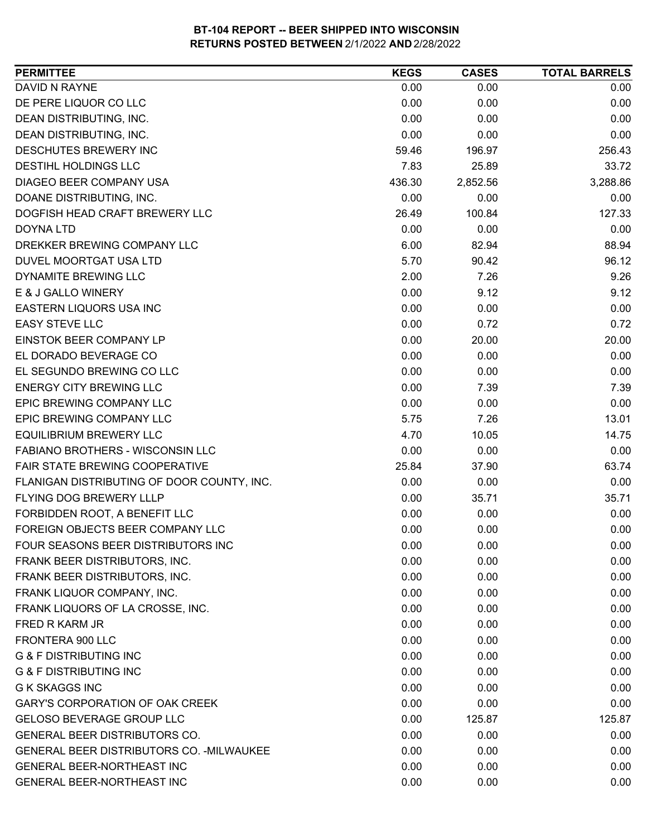| DAVID N RAYNE<br>0.00<br>0.00<br>0.00<br>DE PERE LIQUOR CO LLC<br>0.00<br>0.00<br>0.00<br>0.00<br>DEAN DISTRIBUTING, INC.<br>0.00<br>0.00<br>0.00<br>0.00<br>DEAN DISTRIBUTING, INC.<br>0.00<br>256.43<br>DESCHUTES BREWERY INC<br>59.46<br>196.97<br><b>DESTIHL HOLDINGS LLC</b><br>7.83<br>25.89<br>33.72<br>DIAGEO BEER COMPANY USA<br>3,288.86<br>436.30<br>2,852.56 |
|--------------------------------------------------------------------------------------------------------------------------------------------------------------------------------------------------------------------------------------------------------------------------------------------------------------------------------------------------------------------------|
|                                                                                                                                                                                                                                                                                                                                                                          |
|                                                                                                                                                                                                                                                                                                                                                                          |
|                                                                                                                                                                                                                                                                                                                                                                          |
|                                                                                                                                                                                                                                                                                                                                                                          |
|                                                                                                                                                                                                                                                                                                                                                                          |
|                                                                                                                                                                                                                                                                                                                                                                          |
|                                                                                                                                                                                                                                                                                                                                                                          |
| DOANE DISTRIBUTING, INC.<br>0.00<br>0.00<br>0.00                                                                                                                                                                                                                                                                                                                         |
| DOGFISH HEAD CRAFT BREWERY LLC<br>26.49<br>100.84<br>127.33                                                                                                                                                                                                                                                                                                              |
| 0.00<br>0.00<br><b>DOYNA LTD</b><br>0.00                                                                                                                                                                                                                                                                                                                                 |
| DREKKER BREWING COMPANY LLC<br>6.00<br>82.94<br>88.94                                                                                                                                                                                                                                                                                                                    |
| 96.12<br>5.70<br>DUVEL MOORTGAT USA LTD<br>90.42                                                                                                                                                                                                                                                                                                                         |
| DYNAMITE BREWING LLC<br>2.00<br>9.26<br>7.26                                                                                                                                                                                                                                                                                                                             |
| E & J GALLO WINERY<br>0.00<br>9.12<br>9.12                                                                                                                                                                                                                                                                                                                               |
| <b>EASTERN LIQUORS USA INC</b><br>0.00<br>0.00<br>0.00                                                                                                                                                                                                                                                                                                                   |
| <b>EASY STEVE LLC</b><br>0.00<br>0.72<br>0.72                                                                                                                                                                                                                                                                                                                            |
| <b>EINSTOK BEER COMPANY LP</b><br>0.00<br>20.00<br>20.00                                                                                                                                                                                                                                                                                                                 |
| EL DORADO BEVERAGE CO<br>0.00<br>0.00<br>0.00                                                                                                                                                                                                                                                                                                                            |
| EL SEGUNDO BREWING CO LLC<br>0.00<br>0.00<br>0.00                                                                                                                                                                                                                                                                                                                        |
| <b>ENERGY CITY BREWING LLC</b><br>0.00<br>7.39<br>7.39                                                                                                                                                                                                                                                                                                                   |
| 0.00<br>EPIC BREWING COMPANY LLC<br>0.00<br>0.00                                                                                                                                                                                                                                                                                                                         |
| EPIC BREWING COMPANY LLC<br>5.75<br>13.01<br>7.26                                                                                                                                                                                                                                                                                                                        |
| <b>EQUILIBRIUM BREWERY LLC</b><br>14.75<br>4.70<br>10.05                                                                                                                                                                                                                                                                                                                 |
| <b>FABIANO BROTHERS - WISCONSIN LLC</b><br>0.00<br>0.00<br>0.00                                                                                                                                                                                                                                                                                                          |
| 25.84<br>63.74<br>FAIR STATE BREWING COOPERATIVE<br>37.90                                                                                                                                                                                                                                                                                                                |
| 0.00<br>FLANIGAN DISTRIBUTING OF DOOR COUNTY, INC.<br>0.00<br>0.00                                                                                                                                                                                                                                                                                                       |
| FLYING DOG BREWERY LLLP<br>0.00<br>35.71<br>35.71                                                                                                                                                                                                                                                                                                                        |
| FORBIDDEN ROOT, A BENEFIT LLC<br>0.00<br>0.00<br>0.00                                                                                                                                                                                                                                                                                                                    |
| 0.00<br>FOREIGN OBJECTS BEER COMPANY LLC<br>0.00<br>0.00                                                                                                                                                                                                                                                                                                                 |
| FOUR SEASONS BEER DISTRIBUTORS INC<br>0.00<br>0.00<br>0.00                                                                                                                                                                                                                                                                                                               |
| 0.00<br>FRANK BEER DISTRIBUTORS, INC.<br>0.00<br>0.00                                                                                                                                                                                                                                                                                                                    |
| FRANK BEER DISTRIBUTORS, INC.<br>0.00<br>0.00<br>0.00                                                                                                                                                                                                                                                                                                                    |
| 0.00<br>0.00<br>FRANK LIQUOR COMPANY, INC.<br>0.00                                                                                                                                                                                                                                                                                                                       |
| FRANK LIQUORS OF LA CROSSE, INC.<br>0.00<br>0.00<br>0.00                                                                                                                                                                                                                                                                                                                 |
| 0.00<br>0.00<br>FRED R KARM JR<br>0.00                                                                                                                                                                                                                                                                                                                                   |
| FRONTERA 900 LLC<br>0.00<br>0.00<br>0.00                                                                                                                                                                                                                                                                                                                                 |
| <b>G &amp; F DISTRIBUTING INC</b><br>0.00<br>0.00<br>0.00                                                                                                                                                                                                                                                                                                                |
| <b>G &amp; F DISTRIBUTING INC</b><br>0.00<br>0.00<br>0.00                                                                                                                                                                                                                                                                                                                |
| <b>G K SKAGGS INC</b><br>0.00<br>0.00<br>0.00                                                                                                                                                                                                                                                                                                                            |
| <b>GARY'S CORPORATION OF OAK CREEK</b><br>0.00<br>0.00<br>0.00                                                                                                                                                                                                                                                                                                           |
| <b>GELOSO BEVERAGE GROUP LLC</b><br>125.87<br>0.00<br>125.87                                                                                                                                                                                                                                                                                                             |
| <b>GENERAL BEER DISTRIBUTORS CO.</b><br>0.00<br>0.00<br>0.00                                                                                                                                                                                                                                                                                                             |
| GENERAL BEER DISTRIBUTORS CO. - MILWAUKEE<br>0.00<br>0.00<br>0.00                                                                                                                                                                                                                                                                                                        |
| <b>GENERAL BEER-NORTHEAST INC</b><br>0.00<br>0.00<br>0.00                                                                                                                                                                                                                                                                                                                |
| GENERAL BEER-NORTHEAST INC<br>0.00<br>0.00<br>0.00                                                                                                                                                                                                                                                                                                                       |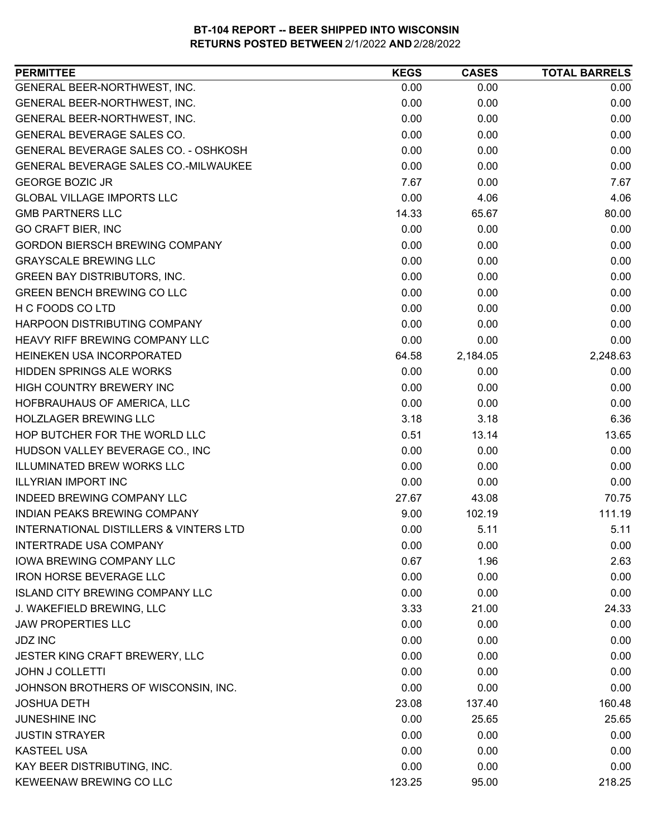| <b>PERMITTEE</b>                                  | <b>KEGS</b> | <b>CASES</b> | <b>TOTAL BARRELS</b> |
|---------------------------------------------------|-------------|--------------|----------------------|
| GENERAL BEER-NORTHWEST, INC.                      | 0.00        | 0.00         | 0.00                 |
| GENERAL BEER-NORTHWEST, INC.                      | 0.00        | 0.00         | 0.00                 |
| GENERAL BEER-NORTHWEST, INC.                      | 0.00        | 0.00         | 0.00                 |
| <b>GENERAL BEVERAGE SALES CO.</b>                 | 0.00        | 0.00         | 0.00                 |
| GENERAL BEVERAGE SALES CO. - OSHKOSH              | 0.00        | 0.00         | 0.00                 |
| <b>GENERAL BEVERAGE SALES CO.-MILWAUKEE</b>       | 0.00        | 0.00         | 0.00                 |
| <b>GEORGE BOZIC JR</b>                            | 7.67        | 0.00         | 7.67                 |
| <b>GLOBAL VILLAGE IMPORTS LLC</b>                 | 0.00        | 4.06         | 4.06                 |
| <b>GMB PARTNERS LLC</b>                           | 14.33       | 65.67        | 80.00                |
| <b>GO CRAFT BIER, INC</b>                         | 0.00        | 0.00         | 0.00                 |
| <b>GORDON BIERSCH BREWING COMPANY</b>             | 0.00        | 0.00         | 0.00                 |
| <b>GRAYSCALE BREWING LLC</b>                      | 0.00        | 0.00         | 0.00                 |
| <b>GREEN BAY DISTRIBUTORS, INC.</b>               | 0.00        | 0.00         | 0.00                 |
| <b>GREEN BENCH BREWING CO LLC</b>                 | 0.00        | 0.00         | 0.00                 |
| H C FOODS CO LTD                                  | 0.00        | 0.00         | 0.00                 |
| HARPOON DISTRIBUTING COMPANY                      | 0.00        | 0.00         | 0.00                 |
| HEAVY RIFF BREWING COMPANY LLC                    | 0.00        | 0.00         | 0.00                 |
| HEINEKEN USA INCORPORATED                         | 64.58       | 2,184.05     | 2,248.63             |
| <b>HIDDEN SPRINGS ALE WORKS</b>                   | 0.00        | 0.00         | 0.00                 |
| HIGH COUNTRY BREWERY INC                          | 0.00        | 0.00         | 0.00                 |
| HOFBRAUHAUS OF AMERICA, LLC                       | 0.00        | 0.00         | 0.00                 |
| <b>HOLZLAGER BREWING LLC</b>                      | 3.18        | 3.18         | 6.36                 |
| HOP BUTCHER FOR THE WORLD LLC                     | 0.51        | 13.14        | 13.65                |
| HUDSON VALLEY BEVERAGE CO., INC                   | 0.00        | 0.00         | 0.00                 |
| ILLUMINATED BREW WORKS LLC                        | 0.00        | 0.00         | 0.00                 |
| <b>ILLYRIAN IMPORT INC</b>                        | 0.00        | 0.00         | 0.00                 |
| INDEED BREWING COMPANY LLC                        | 27.67       | 43.08        | 70.75                |
| INDIAN PEAKS BREWING COMPANY                      | 9.00        | 102.19       | 111.19               |
| <b>INTERNATIONAL DISTILLERS &amp; VINTERS LTD</b> | 0.00        | 5.11         | 5.11                 |
| <b>INTERTRADE USA COMPANY</b>                     | 0.00        | 0.00         | 0.00                 |
| <b>IOWA BREWING COMPANY LLC</b>                   | 0.67        | 1.96         | 2.63                 |
| <b>IRON HORSE BEVERAGE LLC</b>                    | 0.00        | 0.00         | 0.00                 |
| <b>ISLAND CITY BREWING COMPANY LLC</b>            | 0.00        | 0.00         | 0.00                 |
| J. WAKEFIELD BREWING, LLC                         | 3.33        | 21.00        | 24.33                |
| <b>JAW PROPERTIES LLC</b>                         | 0.00        | 0.00         | 0.00                 |
| <b>JDZ INC</b>                                    | 0.00        | 0.00         | 0.00                 |
| JESTER KING CRAFT BREWERY, LLC                    | 0.00        | 0.00         | 0.00                 |
| <b>JOHN J COLLETTI</b>                            | 0.00        | 0.00         | 0.00                 |
| JOHNSON BROTHERS OF WISCONSIN, INC.               | 0.00        | 0.00         | 0.00                 |
| <b>JOSHUA DETH</b>                                | 23.08       | 137.40       | 160.48               |
| <b>JUNESHINE INC</b>                              | 0.00        | 25.65        | 25.65                |
| <b>JUSTIN STRAYER</b>                             | 0.00        | 0.00         | 0.00                 |
| <b>KASTEEL USA</b>                                | 0.00        | 0.00         | 0.00                 |
| KAY BEER DISTRIBUTING, INC.                       | 0.00        | 0.00         | 0.00                 |
| KEWEENAW BREWING CO LLC                           | 123.25      | 95.00        | 218.25               |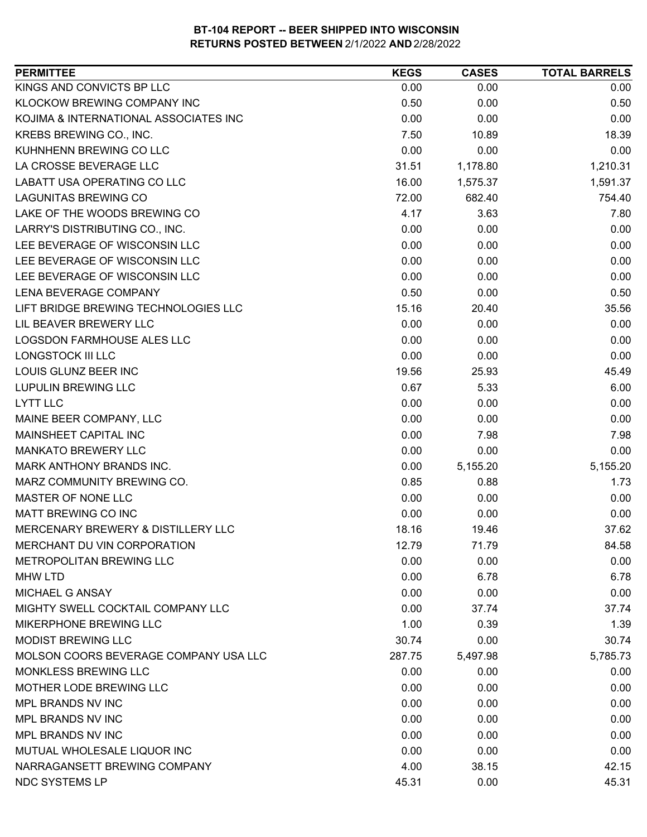| <b>PERMITTEE</b>                      | <b>KEGS</b> | <b>CASES</b> | <b>TOTAL BARRELS</b> |
|---------------------------------------|-------------|--------------|----------------------|
| KINGS AND CONVICTS BP LLC             | 0.00        | 0.00         | 0.00                 |
| <b>KLOCKOW BREWING COMPANY INC</b>    | 0.50        | 0.00         | 0.50                 |
| KOJIMA & INTERNATIONAL ASSOCIATES INC | 0.00        | 0.00         | 0.00                 |
| KREBS BREWING CO., INC.               | 7.50        | 10.89        | 18.39                |
| KUHNHENN BREWING CO LLC               | 0.00        | 0.00         | 0.00                 |
| LA CROSSE BEVERAGE LLC                | 31.51       | 1,178.80     | 1,210.31             |
| LABATT USA OPERATING CO LLC           | 16.00       | 1,575.37     | 1,591.37             |
| <b>LAGUNITAS BREWING CO</b>           | 72.00       | 682.40       | 754.40               |
| LAKE OF THE WOODS BREWING CO          | 4.17        | 3.63         | 7.80                 |
| LARRY'S DISTRIBUTING CO., INC.        | 0.00        | 0.00         | 0.00                 |
| LEE BEVERAGE OF WISCONSIN LLC         | 0.00        | 0.00         | 0.00                 |
| LEE BEVERAGE OF WISCONSIN LLC         | 0.00        | 0.00         | 0.00                 |
| LEE BEVERAGE OF WISCONSIN LLC         | 0.00        | 0.00         | 0.00                 |
| <b>LENA BEVERAGE COMPANY</b>          | 0.50        | 0.00         | 0.50                 |
| LIFT BRIDGE BREWING TECHNOLOGIES LLC  | 15.16       | 20.40        | 35.56                |
| LIL BEAVER BREWERY LLC                | 0.00        | 0.00         | 0.00                 |
| <b>LOGSDON FARMHOUSE ALES LLC</b>     | 0.00        | 0.00         | 0.00                 |
| LONGSTOCK III LLC                     | 0.00        | 0.00         | 0.00                 |
| LOUIS GLUNZ BEER INC                  | 19.56       | 25.93        | 45.49                |
| <b>LUPULIN BREWING LLC</b>            | 0.67        | 5.33         | 6.00                 |
| <b>LYTT LLC</b>                       | 0.00        | 0.00         | 0.00                 |
| MAINE BEER COMPANY, LLC               | 0.00        | 0.00         | 0.00                 |
| MAINSHEET CAPITAL INC                 | 0.00        | 7.98         | 7.98                 |
| <b>MANKATO BREWERY LLC</b>            | 0.00        | 0.00         | 0.00                 |
| MARK ANTHONY BRANDS INC.              | 0.00        | 5,155.20     | 5,155.20             |
| MARZ COMMUNITY BREWING CO.            | 0.85        | 0.88         | 1.73                 |
| MASTER OF NONE LLC                    | 0.00        | 0.00         | 0.00                 |
| <b>MATT BREWING CO INC</b>            | 0.00        | 0.00         | 0.00                 |
| MERCENARY BREWERY & DISTILLERY LLC    | 18.16       | 19.46        | 37.62                |
| MERCHANT DU VIN CORPORATION           | 12.79       | 71.79        | 84.58                |
| <b>METROPOLITAN BREWING LLC</b>       | 0.00        | 0.00         | 0.00                 |
| <b>MHW LTD</b>                        | 0.00        | 6.78         | 6.78                 |
| MICHAEL G ANSAY                       | 0.00        | 0.00         | 0.00                 |
| MIGHTY SWELL COCKTAIL COMPANY LLC     | 0.00        | 37.74        | 37.74                |
| MIKERPHONE BREWING LLC                | 1.00        | 0.39         | 1.39                 |
| <b>MODIST BREWING LLC</b>             | 30.74       | 0.00         | 30.74                |
| MOLSON COORS BEVERAGE COMPANY USA LLC | 287.75      | 5,497.98     | 5,785.73             |
| MONKLESS BREWING LLC                  | 0.00        | 0.00         | 0.00                 |
| MOTHER LODE BREWING LLC               | 0.00        | 0.00         | 0.00                 |
| MPL BRANDS NV INC                     | 0.00        | 0.00         | 0.00                 |
| MPL BRANDS NV INC                     | 0.00        | 0.00         | 0.00                 |
| MPL BRANDS NV INC                     | 0.00        | 0.00         | 0.00                 |
| MUTUAL WHOLESALE LIQUOR INC           | 0.00        | 0.00         | 0.00                 |
| NARRAGANSETT BREWING COMPANY          | 4.00        | 38.15        | 42.15                |
| NDC SYSTEMS LP                        | 45.31       | 0.00         | 45.31                |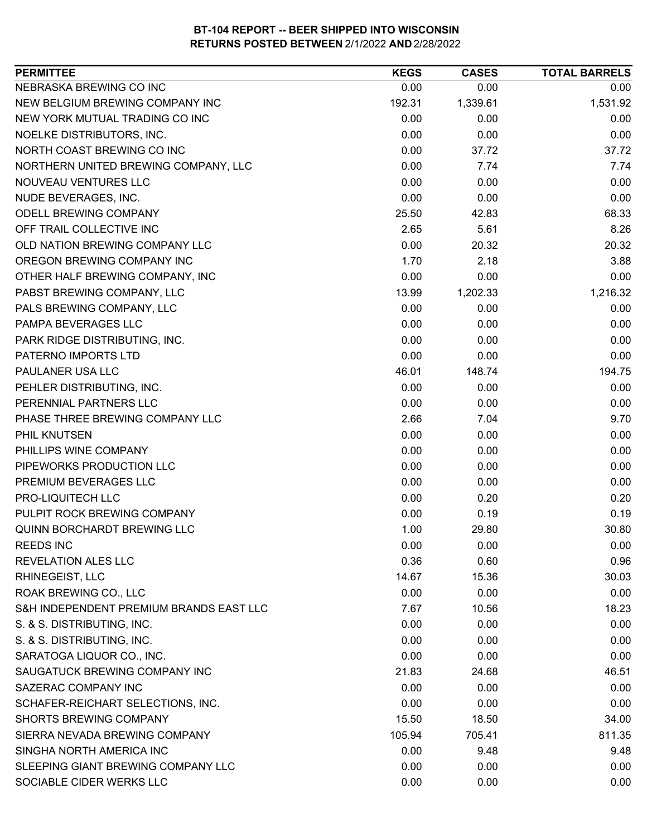| <b>PERMITTEE</b>                        | <b>KEGS</b> | <b>CASES</b> | <b>TOTAL BARRELS</b> |
|-----------------------------------------|-------------|--------------|----------------------|
| NEBRASKA BREWING CO INC                 | 0.00        | 0.00         | 0.00                 |
| NEW BELGIUM BREWING COMPANY INC         | 192.31      | 1,339.61     | 1,531.92             |
| NEW YORK MUTUAL TRADING CO INC          | 0.00        | 0.00         | 0.00                 |
| NOELKE DISTRIBUTORS, INC.               | 0.00        | 0.00         | 0.00                 |
| NORTH COAST BREWING CO INC              | 0.00        | 37.72        | 37.72                |
| NORTHERN UNITED BREWING COMPANY, LLC    | 0.00        | 7.74         | 7.74                 |
| NOUVEAU VENTURES LLC                    | 0.00        | 0.00         | 0.00                 |
| NUDE BEVERAGES, INC.                    | 0.00        | 0.00         | 0.00                 |
| <b>ODELL BREWING COMPANY</b>            | 25.50       | 42.83        | 68.33                |
| OFF TRAIL COLLECTIVE INC                | 2.65        | 5.61         | 8.26                 |
| OLD NATION BREWING COMPANY LLC          | 0.00        | 20.32        | 20.32                |
| OREGON BREWING COMPANY INC              | 1.70        | 2.18         | 3.88                 |
| OTHER HALF BREWING COMPANY, INC         | 0.00        | 0.00         | 0.00                 |
| PABST BREWING COMPANY, LLC              | 13.99       | 1,202.33     | 1,216.32             |
| PALS BREWING COMPANY, LLC               | 0.00        | 0.00         | 0.00                 |
| PAMPA BEVERAGES LLC                     | 0.00        | 0.00         | 0.00                 |
| PARK RIDGE DISTRIBUTING, INC.           | 0.00        | 0.00         | 0.00                 |
| PATERNO IMPORTS LTD                     | 0.00        | 0.00         | 0.00                 |
| PAULANER USA LLC                        | 46.01       | 148.74       | 194.75               |
| PEHLER DISTRIBUTING, INC.               | 0.00        | 0.00         | 0.00                 |
| PERENNIAL PARTNERS LLC                  | 0.00        | 0.00         | 0.00                 |
| PHASE THREE BREWING COMPANY LLC         | 2.66        | 7.04         | 9.70                 |
| PHIL KNUTSEN                            | 0.00        | 0.00         | 0.00                 |
| PHILLIPS WINE COMPANY                   | 0.00        | 0.00         | 0.00                 |
| PIPEWORKS PRODUCTION LLC                | 0.00        | 0.00         | 0.00                 |
| PREMIUM BEVERAGES LLC                   | 0.00        | 0.00         | 0.00                 |
| PRO-LIQUITECH LLC                       | 0.00        | 0.20         | 0.20                 |
| PULPIT ROCK BREWING COMPANY             | 0.00        | 0.19         | 0.19                 |
| <b>QUINN BORCHARDT BREWING LLC</b>      | 1.00        | 29.80        | 30.80                |
| <b>REEDS INC</b>                        | 0.00        | 0.00         | 0.00                 |
| <b>REVELATION ALES LLC</b>              | 0.36        | 0.60         | 0.96                 |
| RHINEGEIST, LLC                         | 14.67       | 15.36        | 30.03                |
| ROAK BREWING CO., LLC                   | 0.00        | 0.00         | 0.00                 |
| S&H INDEPENDENT PREMIUM BRANDS EAST LLC | 7.67        | 10.56        | 18.23                |
| S. & S. DISTRIBUTING, INC.              | 0.00        | 0.00         | 0.00                 |
| S. & S. DISTRIBUTING, INC.              | 0.00        | 0.00         | 0.00                 |
| SARATOGA LIQUOR CO., INC.               | 0.00        | 0.00         | 0.00                 |
| SAUGATUCK BREWING COMPANY INC           | 21.83       | 24.68        | 46.51                |
| SAZERAC COMPANY INC                     | 0.00        | 0.00         | 0.00                 |
| SCHAFER-REICHART SELECTIONS, INC.       | 0.00        | 0.00         | 0.00                 |
| SHORTS BREWING COMPANY                  | 15.50       | 18.50        | 34.00                |
| SIERRA NEVADA BREWING COMPANY           | 105.94      | 705.41       | 811.35               |
| SINGHA NORTH AMERICA INC                | 0.00        | 9.48         | 9.48                 |
| SLEEPING GIANT BREWING COMPANY LLC      | 0.00        | 0.00         | 0.00                 |
| SOCIABLE CIDER WERKS LLC                | 0.00        | 0.00         | 0.00                 |
|                                         |             |              |                      |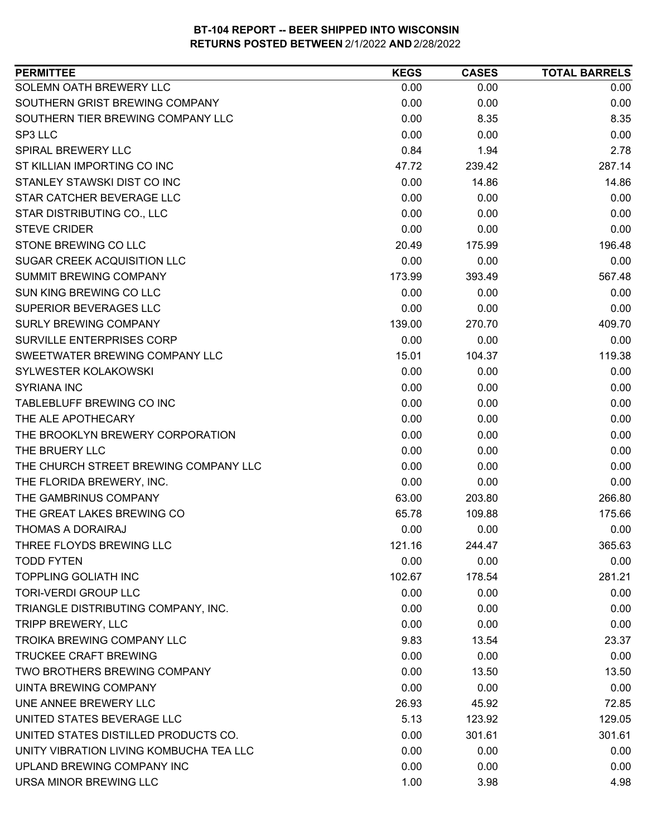| SOLEMN OATH BREWERY LLC<br>0.00<br>0.00<br>SOUTHERN GRIST BREWING COMPANY<br>0.00<br>0.00<br>SOUTHERN TIER BREWING COMPANY LLC<br>0.00<br>8.35<br>SP3 LLC<br>0.00<br>0.00<br>0.84<br><b>SPIRAL BREWERY LLC</b><br>1.94<br>ST KILLIAN IMPORTING CO INC<br>47.72<br>239.42<br>STANLEY STAWSKI DIST CO INC<br>0.00<br>14.86<br>STAR CATCHER BEVERAGE LLC<br>0.00<br>0.00<br>0.00<br>STAR DISTRIBUTING CO., LLC<br>0.00<br><b>STEVE CRIDER</b><br>0.00<br>0.00<br>STONE BREWING CO LLC<br>20.49<br>175.99<br>0.00<br>SUGAR CREEK ACQUISITION LLC<br>0.00<br>SUMMIT BREWING COMPANY<br>173.99<br>393.49<br><b>SUN KING BREWING CO LLC</b><br>0.00<br>0.00<br>SUPERIOR BEVERAGES LLC<br>0.00<br>0.00<br><b>SURLY BREWING COMPANY</b><br>139.00<br>270.70<br><b>SURVILLE ENTERPRISES CORP</b><br>0.00<br>0.00 | <b>PERMITTEE</b> | <b>KEGS</b> | <b>CASES</b> | <b>TOTAL BARRELS</b> |
|--------------------------------------------------------------------------------------------------------------------------------------------------------------------------------------------------------------------------------------------------------------------------------------------------------------------------------------------------------------------------------------------------------------------------------------------------------------------------------------------------------------------------------------------------------------------------------------------------------------------------------------------------------------------------------------------------------------------------------------------------------------------------------------------------------|------------------|-------------|--------------|----------------------|
|                                                                                                                                                                                                                                                                                                                                                                                                                                                                                                                                                                                                                                                                                                                                                                                                        |                  |             |              | 0.00                 |
|                                                                                                                                                                                                                                                                                                                                                                                                                                                                                                                                                                                                                                                                                                                                                                                                        |                  |             |              | 0.00                 |
|                                                                                                                                                                                                                                                                                                                                                                                                                                                                                                                                                                                                                                                                                                                                                                                                        |                  |             |              | 8.35                 |
|                                                                                                                                                                                                                                                                                                                                                                                                                                                                                                                                                                                                                                                                                                                                                                                                        |                  |             |              | 0.00                 |
|                                                                                                                                                                                                                                                                                                                                                                                                                                                                                                                                                                                                                                                                                                                                                                                                        |                  |             |              | 2.78                 |
|                                                                                                                                                                                                                                                                                                                                                                                                                                                                                                                                                                                                                                                                                                                                                                                                        |                  |             |              | 287.14               |
|                                                                                                                                                                                                                                                                                                                                                                                                                                                                                                                                                                                                                                                                                                                                                                                                        |                  |             |              | 14.86                |
|                                                                                                                                                                                                                                                                                                                                                                                                                                                                                                                                                                                                                                                                                                                                                                                                        |                  |             |              | 0.00                 |
|                                                                                                                                                                                                                                                                                                                                                                                                                                                                                                                                                                                                                                                                                                                                                                                                        |                  |             |              | 0.00                 |
|                                                                                                                                                                                                                                                                                                                                                                                                                                                                                                                                                                                                                                                                                                                                                                                                        |                  |             |              | 0.00                 |
|                                                                                                                                                                                                                                                                                                                                                                                                                                                                                                                                                                                                                                                                                                                                                                                                        |                  |             |              | 196.48               |
|                                                                                                                                                                                                                                                                                                                                                                                                                                                                                                                                                                                                                                                                                                                                                                                                        |                  |             |              | 0.00                 |
|                                                                                                                                                                                                                                                                                                                                                                                                                                                                                                                                                                                                                                                                                                                                                                                                        |                  |             |              | 567.48               |
|                                                                                                                                                                                                                                                                                                                                                                                                                                                                                                                                                                                                                                                                                                                                                                                                        |                  |             |              | 0.00                 |
|                                                                                                                                                                                                                                                                                                                                                                                                                                                                                                                                                                                                                                                                                                                                                                                                        |                  |             |              | 0.00                 |
|                                                                                                                                                                                                                                                                                                                                                                                                                                                                                                                                                                                                                                                                                                                                                                                                        |                  |             |              | 409.70               |
|                                                                                                                                                                                                                                                                                                                                                                                                                                                                                                                                                                                                                                                                                                                                                                                                        |                  |             |              | 0.00                 |
| SWEETWATER BREWING COMPANY LLC<br>15.01<br>104.37                                                                                                                                                                                                                                                                                                                                                                                                                                                                                                                                                                                                                                                                                                                                                      |                  |             |              | 119.38               |
| SYLWESTER KOLAKOWSKI<br>0.00<br>0.00                                                                                                                                                                                                                                                                                                                                                                                                                                                                                                                                                                                                                                                                                                                                                                   |                  |             |              | 0.00                 |
| <b>SYRIANA INC</b><br>0.00<br>0.00                                                                                                                                                                                                                                                                                                                                                                                                                                                                                                                                                                                                                                                                                                                                                                     |                  |             |              | 0.00                 |
| 0.00<br>TABLEBLUFF BREWING CO INC<br>0.00                                                                                                                                                                                                                                                                                                                                                                                                                                                                                                                                                                                                                                                                                                                                                              |                  |             |              | 0.00                 |
| THE ALE APOTHECARY<br>0.00<br>0.00                                                                                                                                                                                                                                                                                                                                                                                                                                                                                                                                                                                                                                                                                                                                                                     |                  |             |              | 0.00                 |
| THE BROOKLYN BREWERY CORPORATION<br>0.00<br>0.00                                                                                                                                                                                                                                                                                                                                                                                                                                                                                                                                                                                                                                                                                                                                                       |                  |             |              | 0.00                 |
| THE BRUERY LLC<br>0.00<br>0.00                                                                                                                                                                                                                                                                                                                                                                                                                                                                                                                                                                                                                                                                                                                                                                         |                  |             |              | 0.00                 |
| 0.00<br>THE CHURCH STREET BREWING COMPANY LLC<br>0.00                                                                                                                                                                                                                                                                                                                                                                                                                                                                                                                                                                                                                                                                                                                                                  |                  |             |              | 0.00                 |
| THE FLORIDA BREWERY, INC.<br>0.00<br>0.00                                                                                                                                                                                                                                                                                                                                                                                                                                                                                                                                                                                                                                                                                                                                                              |                  |             |              | 0.00                 |
| THE GAMBRINUS COMPANY<br>63.00<br>203.80                                                                                                                                                                                                                                                                                                                                                                                                                                                                                                                                                                                                                                                                                                                                                               |                  |             |              | 266.80               |
| THE GREAT LAKES BREWING CO<br>65.78<br>109.88                                                                                                                                                                                                                                                                                                                                                                                                                                                                                                                                                                                                                                                                                                                                                          |                  |             |              | 175.66               |
| THOMAS A DORAIRAJ<br>0.00<br>0.00                                                                                                                                                                                                                                                                                                                                                                                                                                                                                                                                                                                                                                                                                                                                                                      |                  |             |              | 0.00                 |
| THREE FLOYDS BREWING LLC<br>121.16<br>244.47                                                                                                                                                                                                                                                                                                                                                                                                                                                                                                                                                                                                                                                                                                                                                           |                  |             |              | 365.63               |
| 0.00<br>0.00<br><b>TODD FYTEN</b>                                                                                                                                                                                                                                                                                                                                                                                                                                                                                                                                                                                                                                                                                                                                                                      |                  |             |              | 0.00                 |
| <b>TOPPLING GOLIATH INC</b><br>102.67<br>178.54                                                                                                                                                                                                                                                                                                                                                                                                                                                                                                                                                                                                                                                                                                                                                        |                  |             |              | 281.21               |
| <b>TORI-VERDI GROUP LLC</b><br>0.00<br>0.00                                                                                                                                                                                                                                                                                                                                                                                                                                                                                                                                                                                                                                                                                                                                                            |                  |             |              | 0.00                 |
| TRIANGLE DISTRIBUTING COMPANY, INC.<br>0.00<br>0.00                                                                                                                                                                                                                                                                                                                                                                                                                                                                                                                                                                                                                                                                                                                                                    |                  |             |              | 0.00                 |
| 0.00<br><b>TRIPP BREWERY, LLC</b><br>0.00                                                                                                                                                                                                                                                                                                                                                                                                                                                                                                                                                                                                                                                                                                                                                              |                  |             |              | 0.00                 |
| <b>TROIKA BREWING COMPANY LLC</b><br>9.83<br>13.54                                                                                                                                                                                                                                                                                                                                                                                                                                                                                                                                                                                                                                                                                                                                                     |                  |             |              | 23.37                |
| <b>TRUCKEE CRAFT BREWING</b><br>0.00<br>0.00                                                                                                                                                                                                                                                                                                                                                                                                                                                                                                                                                                                                                                                                                                                                                           |                  |             |              | 0.00                 |
| TWO BROTHERS BREWING COMPANY<br>0.00<br>13.50                                                                                                                                                                                                                                                                                                                                                                                                                                                                                                                                                                                                                                                                                                                                                          |                  |             |              | 13.50                |
| <b>UINTA BREWING COMPANY</b><br>0.00<br>0.00                                                                                                                                                                                                                                                                                                                                                                                                                                                                                                                                                                                                                                                                                                                                                           |                  |             |              | 0.00                 |
| UNE ANNEE BREWERY LLC<br>26.93<br>45.92                                                                                                                                                                                                                                                                                                                                                                                                                                                                                                                                                                                                                                                                                                                                                                |                  |             |              | 72.85                |
| UNITED STATES BEVERAGE LLC<br>5.13<br>123.92                                                                                                                                                                                                                                                                                                                                                                                                                                                                                                                                                                                                                                                                                                                                                           |                  |             |              | 129.05               |
| UNITED STATES DISTILLED PRODUCTS CO.<br>0.00<br>301.61                                                                                                                                                                                                                                                                                                                                                                                                                                                                                                                                                                                                                                                                                                                                                 |                  |             |              | 301.61               |
| UNITY VIBRATION LIVING KOMBUCHA TEA LLC<br>0.00<br>0.00                                                                                                                                                                                                                                                                                                                                                                                                                                                                                                                                                                                                                                                                                                                                                |                  |             |              | 0.00                 |
| UPLAND BREWING COMPANY INC<br>0.00<br>0.00                                                                                                                                                                                                                                                                                                                                                                                                                                                                                                                                                                                                                                                                                                                                                             |                  |             |              | 0.00                 |
| URSA MINOR BREWING LLC<br>1.00<br>3.98                                                                                                                                                                                                                                                                                                                                                                                                                                                                                                                                                                                                                                                                                                                                                                 |                  |             |              | 4.98                 |